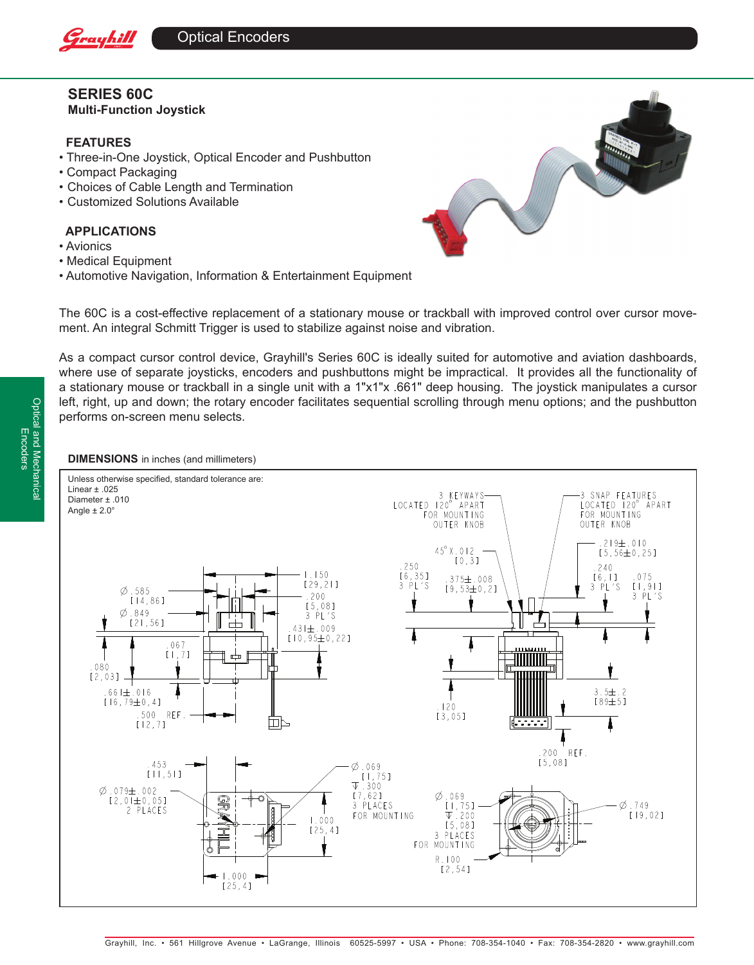

# **SERIES 60C Multi-Function Joystick**

# **FEATURES**

- Three-in-One Joystick, Optical Encoder and Pushbutton
- Compact Packaging
- Choices of Cable Length and Termination
- Customized Solutions Available

# **APPLICATIONS**

- Avionics
- Medical Equipment
- Automotive Navigation, Information & Entertainment Equipment



The 60C is a cost-effective replacement of a stationary mouse or trackball with improved control over cursor movement. An integral Schmitt Trigger is used to stabilize against noise and vibration.

As a compact cursor control device, Grayhill's Series 60C is ideally suited for automotive and aviation dashboards, where use of separate joysticks, encoders and pushbuttons might be impractical. It provides all the functionality of a stationary mouse or trackball in a single unit with a 1"x1"x .661" deep housing. The joystick manipulates a cursor left, right, up and down; the rotary encoder facilitates sequential scrolling through menu options; and the pushbutton performs on-screen menu selects.

## **DIMENSIONS** in inches (and millimeters)

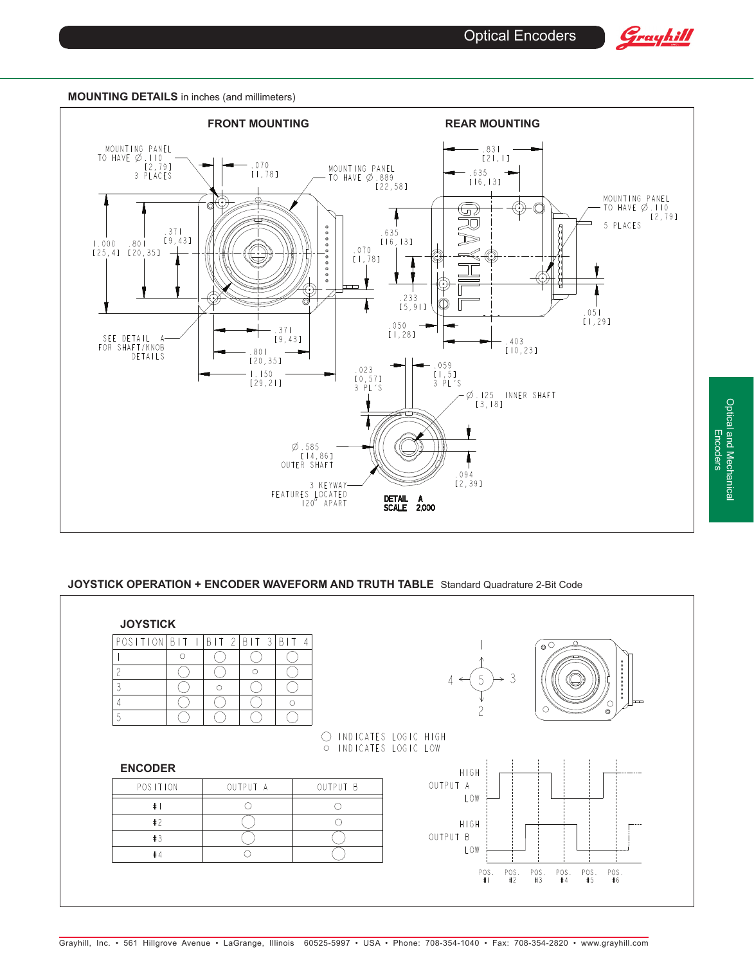

Optical and Mechanical Encoders

Optical and Mechanical<br>Encoders

#### **MOUNTING DETAILS** in inches (and millimeters)



## **JOYSTICK OPERATION + ENCODER WAVEFORM AND TRUTH TABLE** Standard Quadrature 2-Bit Code

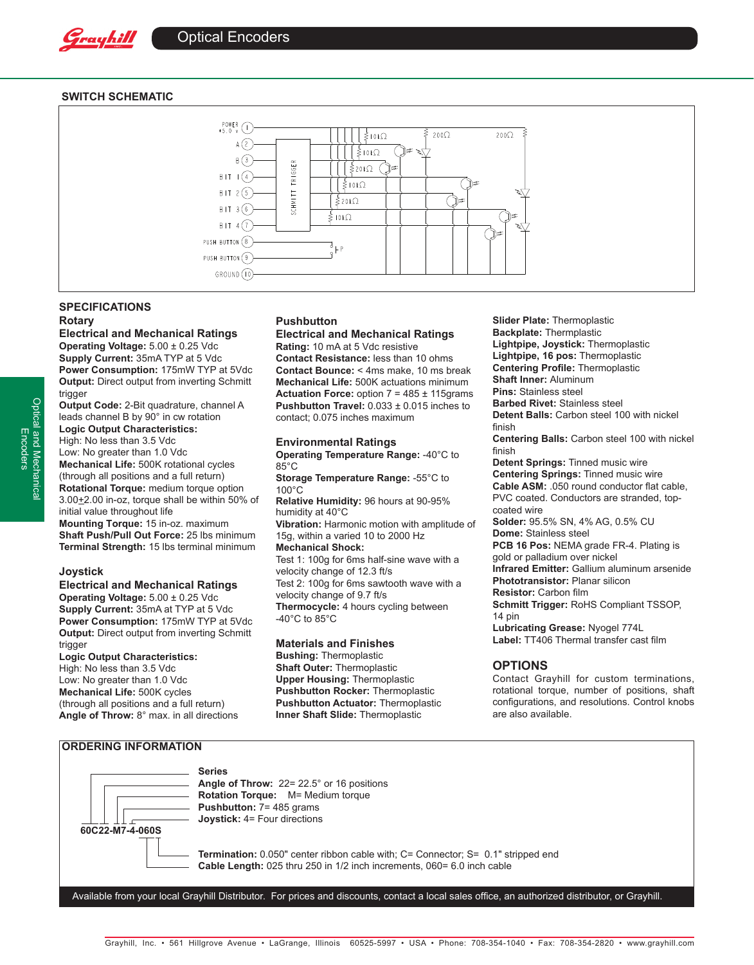

## **SWITCH SCHEMATIC**



# **SPECIFICATIONS Rotary**

#### **Electrical and Mechanical Ratings**

**Operating Voltage:** 5.00 ± 0.25 Vdc **Supply Current:** 35mA TYP at 5 Vdc **Power Consumption:** 175mW TYP at 5Vdc **Output:** Direct output from inverting Schmitt trigger

**Output Code:** 2-Bit quadrature, channel A leads channel B by 90° in cw rotation **Logic Output Characteristics:** High: No less than 3.5 Vdc Low: No greater than 1.0 Vdc **Mechanical Life:** 500K rotational cycles (through all positions and a full return) **Rotational Torque:** medium torque option 3.00+2.00 in-oz, torque shall be within 50% of initial value throughout life **Mounting Torque:** 15 in-oz. maximum **Shaft Push/Pull Out Force:** 25 lbs minimum **Terminal Strength:** 15 lbs terminal minimum

#### **Joystick**

#### **Electrical and Mechanical Ratings**

**Operating Voltage:** 5.00 ± 0.25 Vdc **Supply Current:** 35mA at TYP at 5 Vdc **Power Consumption:** 175mW TYP at 5Vdc **Output:** Direct output from inverting Schmitt trigger

#### **Logic Output Characteristics:**

High: No less than 3.5 Vdc Low: No greater than 1.0 Vdc **Mechanical Life:** 500K cycles (through all positions and a full return) **Angle of Throw:** 8° max. in all directions

## **Pushbutton**

#### **Electrical and Mechanical Ratings Rating:** 10 mA at 5 Vdc resistive

**Contact Resistance:** less than 10 ohms **Contact Bounce:** < 4ms make, 10 ms break **Mechanical Life:** 500K actuations minimum **Actuation Force:** option 7 = 485 ± 115grams **Pushbutton Travel:** 0.033 ± 0.015 inches to contact; 0.075 inches maximum

# **Environmental Ratings**

**Operating Temperature Range:** -40°C to 85°C

**Storage Temperature Range:** -55°C to 100°C

**Relative Humidity:** 96 hours at 90-95% humidity at 40°C **Vibration:** Harmonic motion with amplitude of

15g, within a varied 10 to 2000 Hz **Mechanical Shock:**  Test 1: 100g for 6ms half-sine wave with a velocity change of 12.3 ft/s

Test 2: 100g for 6ms sawtooth wave with a velocity change of 9.7 ft/s **Thermocycle:** 4 hours cycling between  $-40^{\circ}$ C to  $85^{\circ}$ C

#### **Materials and Finishes**

**Bushing:** Thermoplastic **Shaft Outer:** Thermoplastic **Upper Housing:** Thermoplastic **Pushbutton Rocker:** Thermoplastic **Pushbutton Actuator:** Thermoplastic **Inner Shaft Slide:** Thermoplastic

**Slider Plate:** Thermoplastic **Backplate:** Thermplastic **Lightpipe, Joystick:** Thermoplastic **Lightpipe, 16 pos:** Thermoplastic **Centering Profile:** Thermoplastic **Shaft Inner:** Aluminum **Pins:** Stainless steel **Barbed Rivet:** Stainless steel **Detent Balls:** Carbon steel 100 with nickel finish **Centering Balls:** Carbon steel 100 with nickel finish **Detent Springs:** Tinned music wire **Centering Springs:** Tinned music wire **Cable ASM:** .050 round conductor flat cable,

PVC coated. Conductors are stranded, topcoated wire

**Solder:** 95.5% SN, 4% AG, 0.5% CU **Dome:** Stainless steel

**PCB 16 Pos:** NEMA grade FR-4. Plating is gold or palladium over nickel

**Infrared Emitter:** Gallium aluminum arsenide **Phototransistor:** Planar silicon

**Resistor:** Carbon film

**Schmitt Trigger:** RoHS Compliant TSSOP, 14 pin

**Lubricating Grease:** Nyogel 774L **Label:** TT406 Thermal transfer cast film

## **OPTIONS**

Contact Grayhill for custom terminations, rotational torque, number of positions, shaft configurations, and resolutions. Control knobs are also available.

### **ORDERING INFORMATION**



**Series**

**Angle of Throw:** 22= 22.5° or 16 positions **Rotation Torque:** M= Medium torque **Pushbutton:** 7= 485 grams **Joystick:** 4= Four directions

**Termination:** 0.050" center ribbon cable with; C= Connector; S= 0.1" stripped end **Cable Length:** 025 thru 250 in 1/2 inch increments, 060= 6.0 inch cable

Available from your local Grayhill Distributor. For prices and discounts, contact a local sales office, an authorized distributor, or Grayhill.